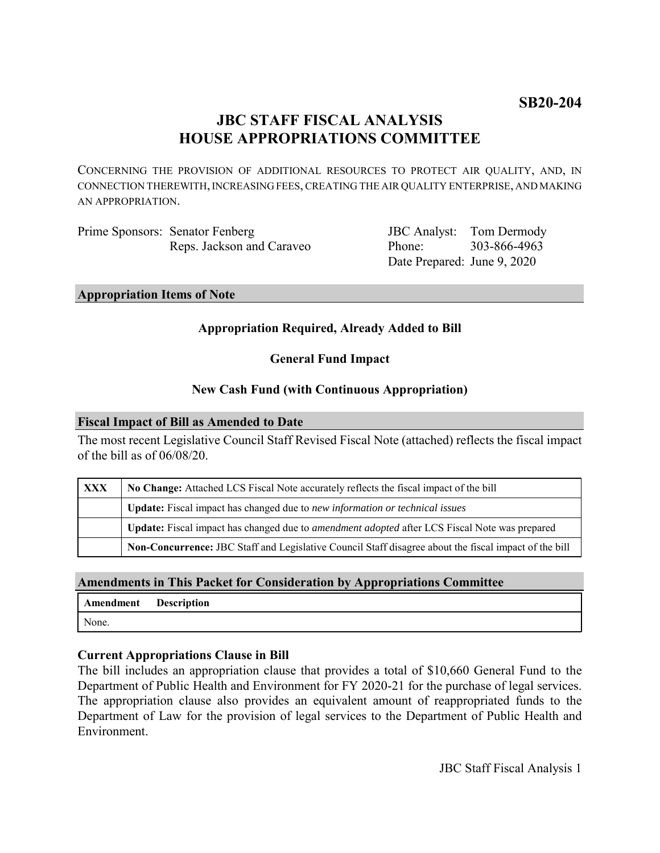# **JBC STAFF FISCAL ANALYSIS HOUSE APPROPRIATIONS COMMITTEE**

CONCERNING THE PROVISION OF ADDITIONAL RESOURCES TO PROTECT AIR QUALITY, AND, IN CONNECTION THEREWITH, INCREASING FEES, CREATING THE AIR QUALITY ENTERPRISE, AND MAKING AN APPROPRIATION.

Prime Sponsors: Senator Fenberg Reps. Jackson and Caraveo JBC Analyst: Phone: Date Prepared: June 9, 2020 Tom Dermody 303-866-4963

**Appropriation Items of Note**

# **Appropriation Required, Already Added to Bill**

# **General Fund Impact**

# **New Cash Fund (with Continuous Appropriation)**

#### **Fiscal Impact of Bill as Amended to Date**

The most recent Legislative Council Staff Revised Fiscal Note (attached) reflects the fiscal impact of the bill as of 06/08/20.

| <b>XXX</b> | No Change: Attached LCS Fiscal Note accurately reflects the fiscal impact of the bill                 |
|------------|-------------------------------------------------------------------------------------------------------|
|            | Update: Fiscal impact has changed due to new information or technical issues                          |
|            | Update: Fiscal impact has changed due to <i>amendment adopted</i> after LCS Fiscal Note was prepared  |
|            | Non-Concurrence: JBC Staff and Legislative Council Staff disagree about the fiscal impact of the bill |

# **Amendments in This Packet for Consideration by Appropriations Committee**

| Amendment | <b>Description</b> |
|-----------|--------------------|
| None.     |                    |

# **Current Appropriations Clause in Bill**

The bill includes an appropriation clause that provides a total of \$10,660 General Fund to the Department of Public Health and Environment for FY 2020-21 for the purchase of legal services. The appropriation clause also provides an equivalent amount of reappropriated funds to the Department of Law for the provision of legal services to the Department of Public Health and Environment.